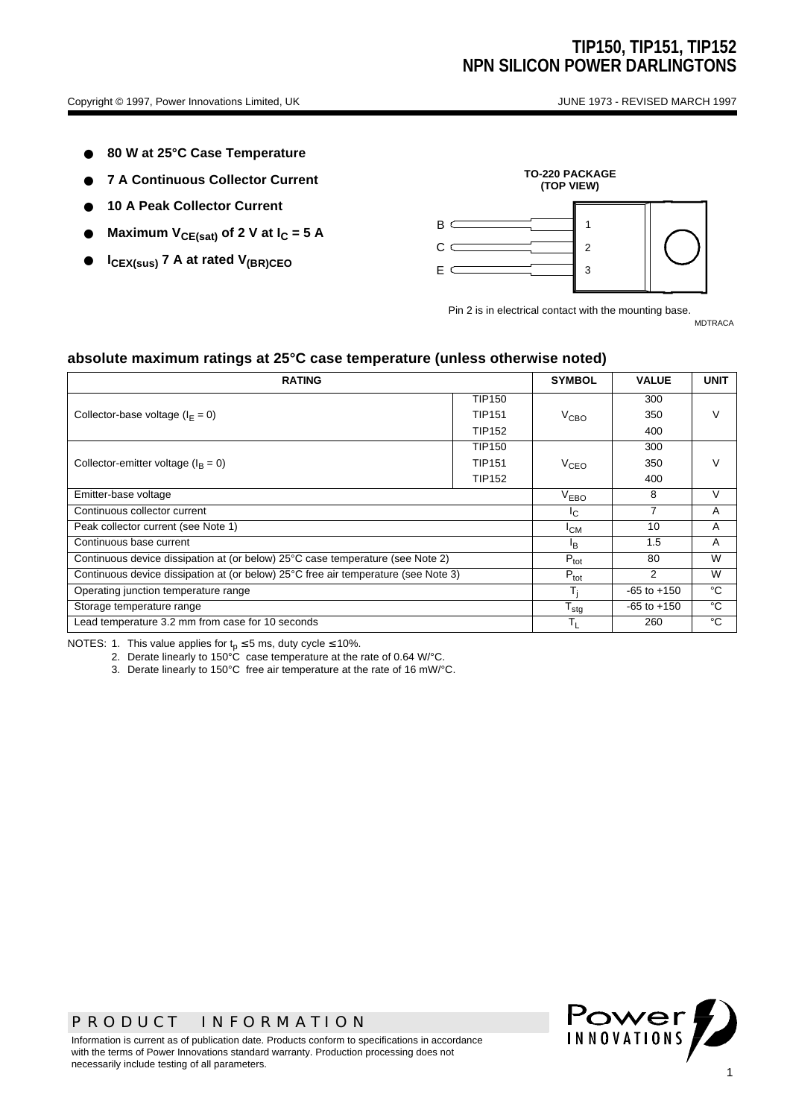- 80 W at 25°C Case Temperature
- **7 A Continuous Collector Current**
- **10 A Peak Collector Current**
- Maximum V<sub>CE(sat)</sub> of 2 V at I<sub>C</sub> = 5 A
- **ICEX(sus) 7 A at rated V(BR)CEO**



Pin 2 is in electrical contact with the mounting base. MDTRACA

**absolute maximum ratings at 25°C case temperature (unless otherwise noted)**

| <b>RATING</b>                                                                      |                  |                 | <b>VALUE</b>    | <b>UNIT</b> |  |
|------------------------------------------------------------------------------------|------------------|-----------------|-----------------|-------------|--|
|                                                                                    | <b>TIP150</b>    |                 | 300             |             |  |
| Collector-base voltage ( $I_F = 0$ )                                               | <b>TIP151</b>    | $V_{CBO}$       | 350             |             |  |
|                                                                                    | <b>TIP152</b>    |                 | 400             |             |  |
|                                                                                    | <b>TIP150</b>    |                 | 300             |             |  |
| Collector-emitter voltage ( $I_B = 0$ )                                            | <b>TIP151</b>    | $V_{CEO}$       | 350             | V           |  |
|                                                                                    | <b>TIP152</b>    |                 | 400             |             |  |
| Emitter-base voltage                                                               | $V_{EBO}$        | 8               | $\vee$          |             |  |
| Continuous collector current                                                       | $I_{\rm C}$      | 7               | A               |             |  |
| Peak collector current (see Note 1)                                                | <sup>I</sup> CM  | 10              | A               |             |  |
| Continuous base current                                                            | lB.              | 1.5             | A               |             |  |
| Continuous device dissipation at (or below) 25°C case temperature (see Note 2)     | $P_{\text{tot}}$ | 80              | W               |             |  |
| Continuous device dissipation at (or below) 25°C free air temperature (see Note 3) |                  |                 | $\mathcal{P}$   | W           |  |
| Operating junction temperature range                                               |                  |                 | $-65$ to $+150$ | °C          |  |
| Storage temperature range                                                          | $T_{\text{stg}}$ | $-65$ to $+150$ | °C              |             |  |
| Lead temperature 3.2 mm from case for 10 seconds                                   | $T_L$            | 260             | °C              |             |  |

NOTES: 1. This value applies for  $t_p \le 5$  ms, duty cycle  $\le 10\%$ .

2. Derate linearly to 150°C case temperature at the rate of 0.64 W/°C.

3. Derate linearly to 150°C free air temperature at the rate of 16 mW/°C.

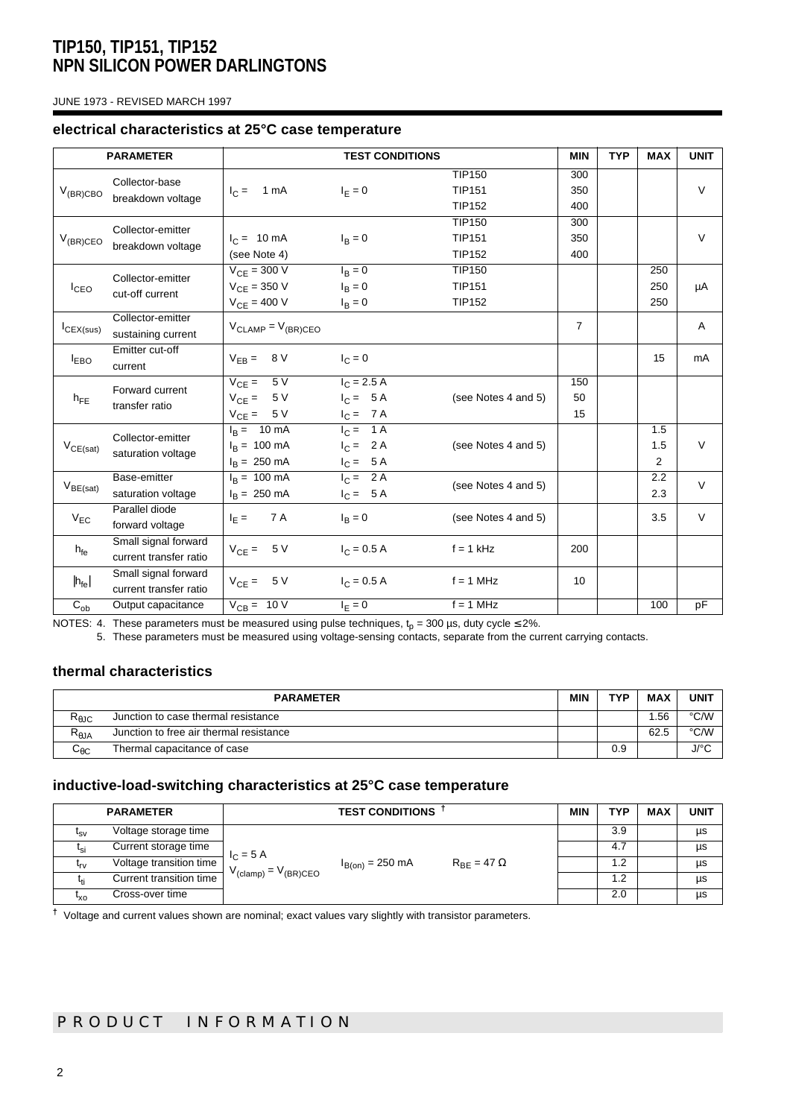JUNE 1973 - REVISED MARCH 1997

#### **electrical characteristics at 25°C case temperature**

| <b>PARAMETER</b> |                                                | <b>TEST CONDITIONS</b>                                                    |                                           |                                                 | <b>MIN</b>        | <b>TYP</b> | <b>MAX</b>        | <b>UNIT</b> |
|------------------|------------------------------------------------|---------------------------------------------------------------------------|-------------------------------------------|-------------------------------------------------|-------------------|------------|-------------------|-------------|
| $V_{(BR)CBO}$    | Collector-base<br>breakdown voltage            | $I_C = 1 mA$                                                              | $I_F = 0$                                 | <b>TIP150</b><br><b>TIP151</b><br><b>TIP152</b> | 300<br>350<br>400 |            |                   | $\vee$      |
| $V_{(BR)CEO}$    | Collector-emitter<br>breakdown voltage         | $I_C = 10 \text{ mA}$<br>(see Note 4)                                     | $I_{\rm B} = 0$                           | <b>TIP150</b><br><b>TIP151</b><br><b>TIP152</b> | 300<br>350<br>400 |            |                   | $\vee$      |
| I <sub>CEO</sub> | Collector-emitter<br>cut-off current           | $V_{CE} = 300 V$<br>$V_{CF} = 350 V$<br>$V_{CE} = 400 V$                  | $I_B = 0$<br>$I_B = 0$<br>$I_R = 0$       | <b>TIP150</b><br><b>TIP151</b><br><b>TIP152</b> |                   |            | 250<br>250<br>250 | μA          |
| $I_{CEX(sus)}$   | Collector-emitter<br>sustaining current        | $V_{CLAMP} = V_{(BR)CEO}$                                                 |                                           |                                                 | $\overline{7}$    |            |                   | Α           |
| <b>LEBO</b>      | Emitter cut-off<br>current                     | $V_{EB} = 8 V$                                                            | $I_{C} = 0$                               |                                                 |                   |            | 15                | mA          |
| $h_{FE}$         | Forward current<br>transfer ratio              | $V_{CE} = 5V$<br>$V_{CE} = 5 V$<br>$V_{CE} = 5 V$                         | $I_C = 2.5 A$<br>$I_C = 5A$<br>$I_C = 7A$ | (see Notes 4 and 5)                             | 150<br>50<br>15   |            |                   |             |
| $V_{CE(sat)}$    | Collector-emitter<br>saturation voltage        | $I_R = 10 \text{ mA}$<br>$I_R = 100 \text{ mA}$<br>$I_R = 250 \text{ mA}$ | $I_C = 1A$<br>$I_C = 2A$<br>$I_C = 5A$    | (see Notes 4 and 5)                             |                   |            | 1.5<br>1.5<br>2   | $\vee$      |
| $V_{BE(sat)}$    | Base-emitter<br>saturation voltage             | $I_R = 100 \text{ mA}$<br>$I_R = 250 \text{ mA}$                          | $I_C = 2A$<br>$I_C = 5A$                  | (see Notes 4 and 5)                             |                   |            | 2.2<br>2.3        | $\vee$      |
| $V_{FC}$         | Parallel diode<br>forward voltage              | 7 A<br>$I_F =$                                                            | $I_B = 0$                                 | (see Notes 4 and 5)                             |                   |            | 3.5               | $\vee$      |
| $h_{\text{fe}}$  | Small signal forward<br>current transfer ratio | 5 V<br>$V_{CF} =$                                                         | $I_C = 0.5 A$                             | $f = 1$ kHz                                     | 200               |            |                   |             |
| $ h_{fe} $       | Small signal forward<br>current transfer ratio | $V_{CE} = 5 V$                                                            | $I_C = 0.5 A$                             | $f = 1$ MHz                                     | 10                |            |                   |             |
| $C_{ob}$         | Output capacitance                             | $V_{CB} = 10 V$                                                           | $I_{E} = 0$                               | $f = 1$ MHz                                     |                   |            | 100               | pF          |

NOTES: 4. These parameters must be measured using pulse techniques,  ${\rm t_p}$  = 300 µs, duty cycle ≤ 2%.

5. These parameters must be measured using voltage-sensing contacts, separate from the current carrying contacts.

### **thermal characteristics**

| <b>PARAMETER</b>       |                                         |  | TYP | <b>MAX</b> | <b>UNIT</b> |
|------------------------|-----------------------------------------|--|-----|------------|-------------|
| $R_{\theta \text{JC}}$ | Junction to case thermal resistance     |  |     | .56        | °C/W        |
| $R_{\theta$ JA         | Junction to free air thermal resistance |  |     | 62.5       | °C/W        |
| ∽⊕ເ                    | Thermal capacitance of case             |  | 0.9 |            | J/°C        |

#### **inductive-load-switching characteristics at 25°C case temperature**

| <b>PARAMETER</b> |                         | <b>TEST CONDITIONS</b>                     |                      |                        | <b>MIN</b> | TYP | <b>MAX</b> | <b>UNIT</b> |
|------------------|-------------------------|--------------------------------------------|----------------------|------------------------|------------|-----|------------|-------------|
| $I_{SV}$         | Voltage storage time    | $I_C = 5 A$<br>$V_{(clamp)} = V_{(BR)CEO}$ |                      |                        | 3.9        |     | μs         |             |
| $I_{\text{Si}}$  | Current storage time    |                                            |                      |                        |            | 4.7 |            | μs          |
| $t_{rv}$         | Voltage transition time |                                            | $I_{B(0n)} = 250$ mA | $R_{BF}$ = 47 $\Omega$ |            | 1.2 |            | μs          |
|                  | Current transition time |                                            |                      |                        |            | 1.2 |            | μs          |
| "xo              | Cross-over time         |                                            |                      |                        | 2.0        |     | μs         |             |

**†** Voltage and current values shown are nominal; exact values vary slightly with transistor parameters.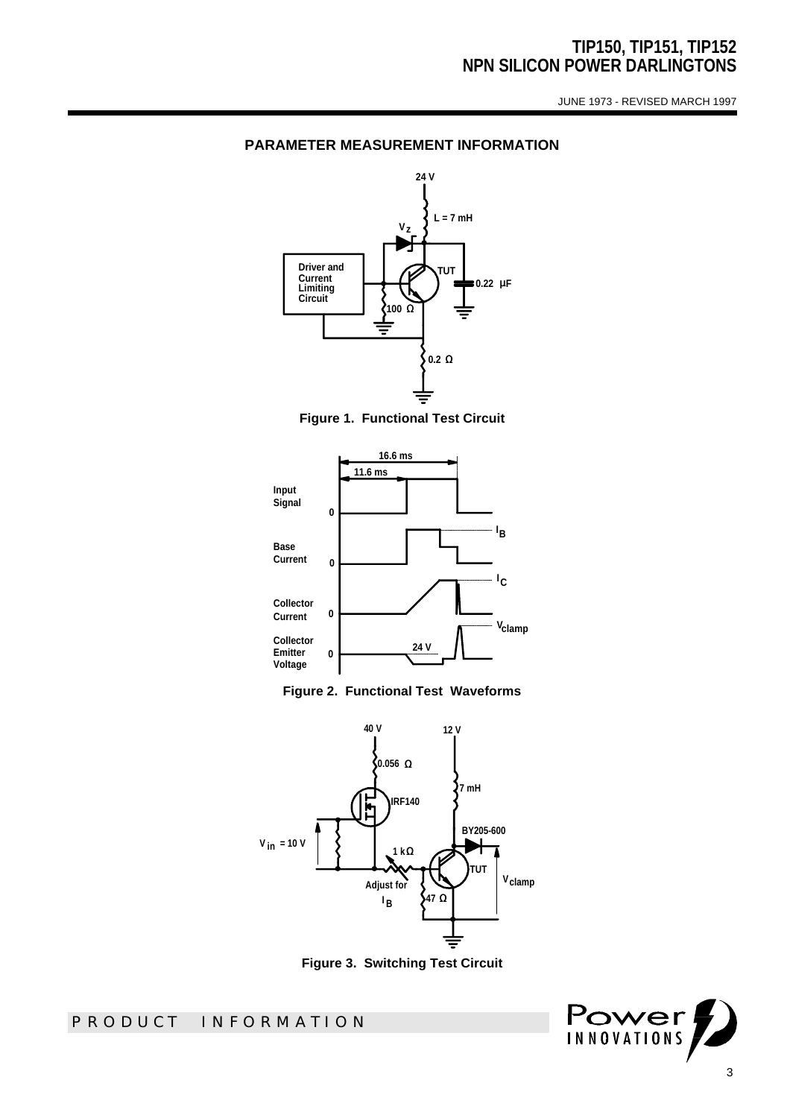JUNE 1973 - REVISED MARCH 1997

#### **PARAMETER MEASUREMENT INFORMATION**











**Figure 3. Switching Test Circuit**

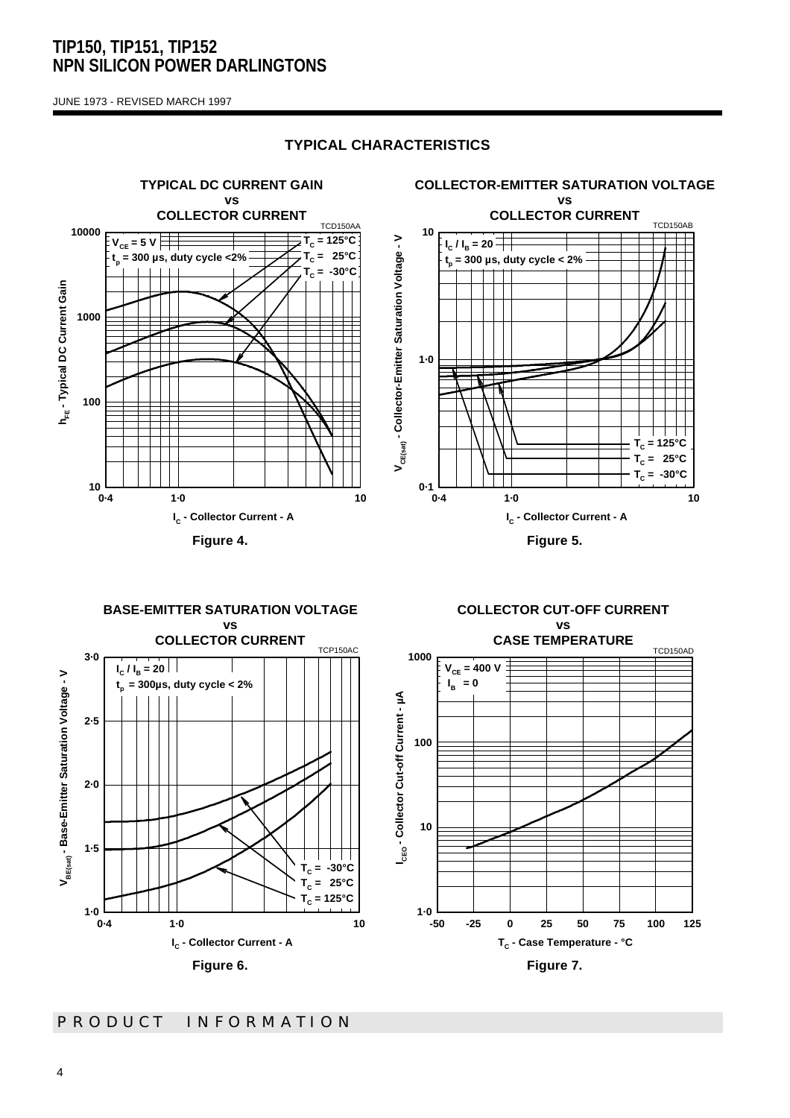JUNE 1973 - REVISED MARCH 1997

### **TYPICAL CHARACTERISTICS**



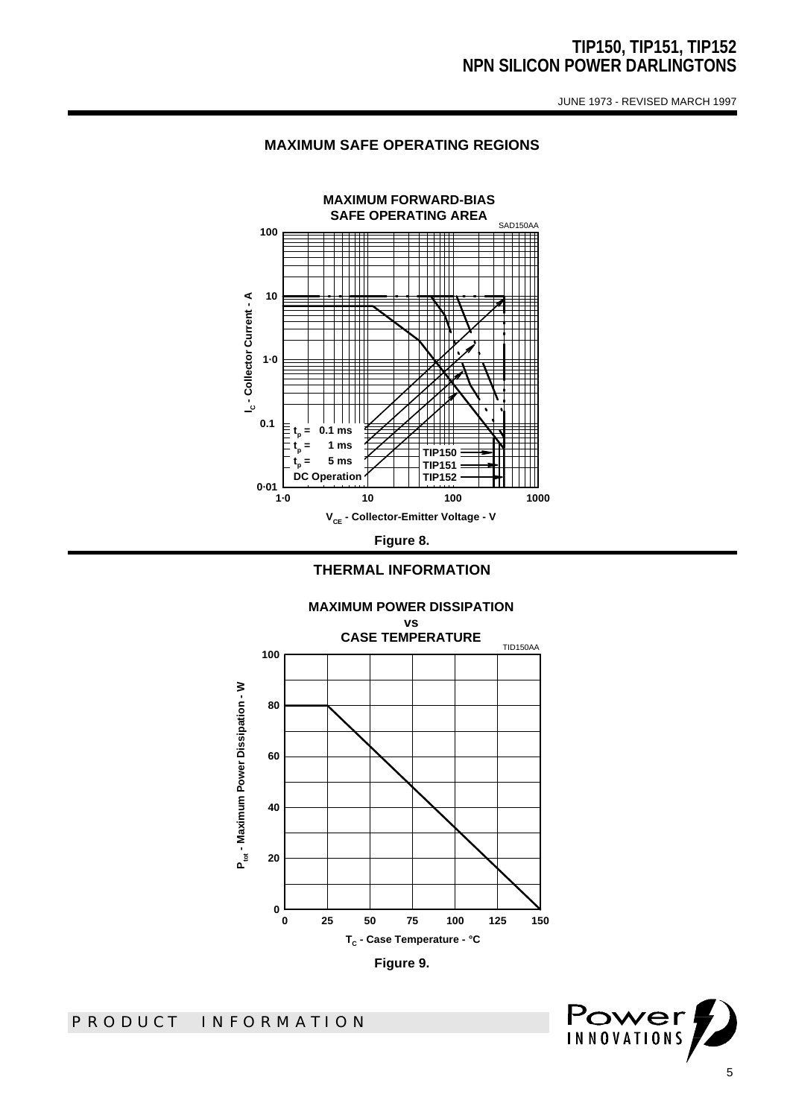JUNE 1973 - REVISED MARCH 1997





**THERMAL INFORMATION**



Power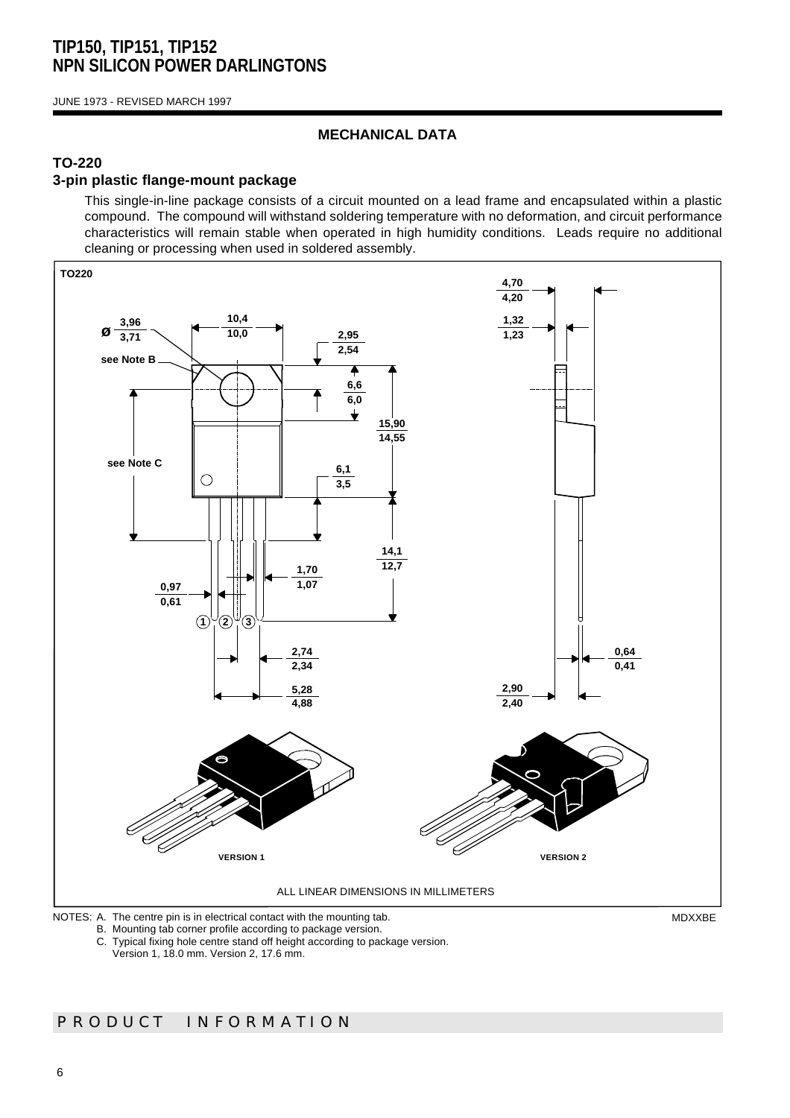JUNE 1973 - REVISED MARCH 1997

### **MECHANICAL DATA**

## **TO-220**

### **3-pin plastic flange-mount package**

This single-in-line package consists of a circuit mounted on a lead frame and encapsulated within a plastic compound. The compound will withstand soldering temperature with no deformation, and circuit performance characteristics will remain stable when operated in high humidity conditions. Leads require no additional cleaning or processing when used in soldered assembly.



B. Mounting tab corner profile according to package version.

C. Typical fixing hole centre stand off height according to package version.

Version 1, 18.0 mm. Version 2, 17.6 mm.